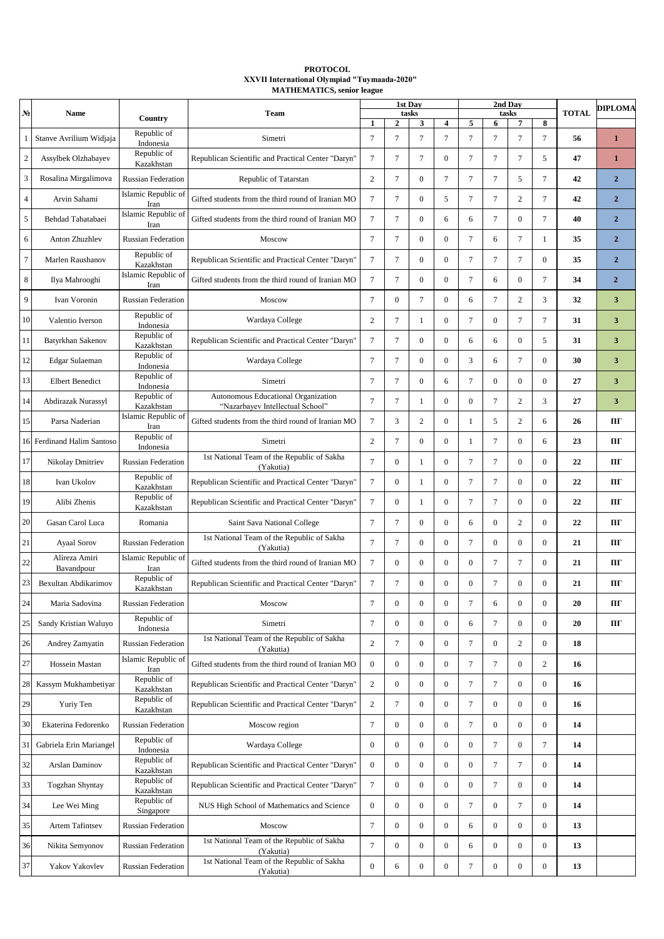## **PROTOCOL ХХVII International Olympiad "Tuymaada-2020" MATHEMATICS, senior league**

| N.             | <b>Name</b>                 |                             | <b>Team</b>                                                             | 1st Dav<br>tasks |                  |                  |                         | 2nd Dav<br>tasks |                  |                  |                  | <b>TOTAL</b> | <b>DIPLOMA</b> |
|----------------|-----------------------------|-----------------------------|-------------------------------------------------------------------------|------------------|------------------|------------------|-------------------------|------------------|------------------|------------------|------------------|--------------|----------------|
|                |                             | Country                     |                                                                         | $\mathbf{1}$     | $\mathbf{2}$     | 3                | $\overline{\mathbf{4}}$ | 5                | 6                | 7                | 8                |              |                |
| 1              | Stanve Avrilium Widjaja     | Republic of<br>Indonesia    | Simetri                                                                 | $\tau$           | $\overline{7}$   | $\tau$           | $\overline{7}$          | $\tau$           | $\overline{7}$   | $\overline{7}$   | $\overline{7}$   | 56           | $\mathbf{1}$   |
| $\sqrt{2}$     | Assylbek Olzhabayev         | Republic of<br>Kazakhstan   | Republican Scientific and Practical Center "Daryn"                      | 7                | 7                | 7                | $\mathbf{0}$            | 7                | 7                | 7                | 5                | 47           | 1              |
| 3              | Rosalina Mirgalimova        | <b>Russian Federation</b>   | Republic of Tatarstan                                                   | 2                | 7                | $\mathbf{0}$     | 7                       | $\tau$           | 7                | 5                | 7                | 42           | $\overline{2}$ |
| $\overline{4}$ | Arvin Sahami                | Islamic Republic of<br>Iran | Gifted students from the third round of Iranian MO                      | 7                | 7                | $\overline{0}$   | 5                       | 7                | 7                | 2                | 7                | 42           | $\overline{2}$ |
| $\sqrt{5}$     | Behdad Tabatabaei           | Islamic Republic of<br>Iran | Gifted students from the third round of Iranian MO                      | $\tau$           | $\tau$           | $\overline{0}$   | 6                       | 6                | $\tau$           | $\boldsymbol{0}$ | 7                | 40           | $\overline{2}$ |
| 6              | Anton Zhuzhlev              | <b>Russian Federation</b>   | Moscow                                                                  | $\tau$           | $\overline{7}$   | $\overline{0}$   | $\mathbf{0}$            | $\overline{7}$   | 6                | 7                | 1                | 35           | $\overline{2}$ |
| $\tau$         | Marlen Raushanov            | Republic of<br>Kazakhstan   | Republican Scientific and Practical Center "Daryn"                      | $\tau$           | $\overline{7}$   | $\overline{0}$   | $\mathbf{0}$            | $\tau$           | $\tau$           | $\overline{7}$   | $\Omega$         | 35           | $\overline{2}$ |
| 8              | Ilya Mahrooghi              | Islamic Republic of<br>Iran | Gifted students from the third round of Iranian MO                      | 7                | 7                | $\overline{0}$   | $\mathbf{0}$            | $\overline{7}$   | 6                | 0                | 7                | 34           | $\overline{2}$ |
| 9              | Ivan Voronin                | <b>Russian Federation</b>   | Moscow                                                                  | $\tau$           | $\overline{0}$   | 7                | $\mathbf{0}$            | 6                | 7                | 2                | 3                | 32           | 3              |
| 10             | Valentio Iverson            | Republic of<br>Indonesia    | Wardaya College                                                         | 2                | 7                | 1                | $\mathbf{0}$            | $\overline{7}$   | 0                | 7                | 7                | 31           | 3              |
| 11             | Batyrkhan Sakenov           | Republic of<br>Kazakhstan   | Republican Scientific and Practical Center "Daryn"                      | $\tau$           | $\overline{7}$   | $\overline{0}$   | $\mathbf{0}$            | 6                | 6                | $\overline{0}$   | 5                | 31           | 3              |
| 12             | Edgar Sulaeman              | Republic of<br>Indonesia    | Wardaya College                                                         | $\tau$           | $\overline{7}$   | $\overline{0}$   | $\overline{0}$          | 3                | 6                | $\overline{7}$   | $\Omega$         | 30           | 3              |
| 13             | <b>Elbert Benedict</b>      | Republic of<br>Indonesia    | Simetri                                                                 | 7                | 7                | $\overline{0}$   | 6                       | $\overline{7}$   | 0                | $\Omega$         | $\mathbf{0}$     | 27           | 3              |
| 14             | Abdirazak Nurassyl          | Republic of<br>Kazakhstan   | Autonomous Educational Organization<br>"Nazarbayev Intellectual School" | 7                | 7                |                  | $\mathbf{0}$            | $\mathbf{0}$     | 7                | 2                | 3                | 27           | 3              |
| 15             | Parsa Naderian              | Islamic Republic of<br>Iran | Gifted students from the third round of Iranian MO                      | 7                | 3                | 2                | $\mathbf{0}$            | 1                | 5                | 2                | 6                | 26           | ПΓ             |
|                | 16 Ferdinand Halim Santoso  | Republic of<br>Indonesia    | Simetri                                                                 | $\overline{c}$   | 7                | $\overline{0}$   | $\mathbf{0}$            | 1                | 7                | $\boldsymbol{0}$ | 6                | 23           | ПΓ             |
| 17             | Nikolay Dmitriev            | <b>Russian Federation</b>   | 1st National Team of the Republic of Sakha<br>(Yakutia)                 | $\tau$           | $\overline{0}$   |                  | $\mathbf{0}$            | $\overline{7}$   | 7                | $\boldsymbol{0}$ | $\mathbf{0}$     | 22           | ПΓ             |
| 18             | Ivan Ukolov                 | Republic of<br>Kazakhstan   | Republican Scientific and Practical Center "Daryn"                      | $\tau$           | $\overline{0}$   |                  | $\mathbf{0}$            | $\overline{7}$   | 7                | $\boldsymbol{0}$ | $\mathbf{0}$     | 22           | ПΓ             |
| 19             | Alibi Zhenis                | Republic of<br>Kazakhstan   | Republican Scientific and Practical Center "Daryn"                      | 7                | $\overline{0}$   | 1                | $\mathbf{0}$            | 7                | 7                | $\boldsymbol{0}$ | $\mathbf{0}$     | 22           | ПΓ             |
| 20             | Gasan Carol Luca            | Romania                     | Saint Sava National College                                             | $\tau$           | 7                | $\overline{0}$   | $\mathbf{0}$            | 6                | $\mathbf{0}$     | $\overline{c}$   | $\mathbf{0}$     | 22           | ПΓ             |
| 21             | <b>Ayaal Sorov</b>          | <b>Russian Federation</b>   | 1st National Team of the Republic of Sakha<br>(Yakutia)                 | $\tau$           | 7                | $\overline{0}$   | $\mathbf{0}$            | $\overline{7}$   | $\mathbf{0}$     | $\boldsymbol{0}$ | $\mathbf{0}$     | 21           | ΠГ             |
| 22             | Alireza Amiri<br>Bavandpour | Islamic Republic of<br>Iran | Gifted students from the third round of Iranian MO                      | $\tau$           | $\overline{0}$   | $\overline{0}$   | $\mathbf{0}$            | $\mathbf{0}$     | 7                | $\overline{7}$   | $\mathbf{0}$     | 21           | ПΓ             |
| 23             | Bexultan Abdikarimov        | Republic of<br>Kazakhstan   | Republican Scientific and Practical Center "Daryn"                      | $\tau$           | $\tau$           | $\overline{0}$   | $\boldsymbol{0}$        | $\mathbf{0}$     | $\tau$           | $\overline{0}$   | $\mathbf{0}$     | 21           | ШГ             |
| 24             | Maria Sadovina              | <b>Russian Federation</b>   | Moscow                                                                  | 7                | $\boldsymbol{0}$ | $\boldsymbol{0}$ | $\boldsymbol{0}$        | $\tau$           | 6                | $\boldsymbol{0}$ | $\mathbf{0}$     | 20           | Ш              |
| 25             | Sandy Kristian Waluyo       | Republic of<br>Indonesia    | Simetri                                                                 | $\tau$           | $\overline{0}$   | $\overline{0}$   | $\boldsymbol{0}$        | 6                | $\tau$           | $\boldsymbol{0}$ | $\mathbf{0}$     | 20           | ΠГ             |
| 26             | Andrey Zamyatin             | <b>Russian Federation</b>   | 1st National Team of the Republic of Sakha<br>(Yakutia)                 | $\overline{c}$   | 7                | $\boldsymbol{0}$ | $\boldsymbol{0}$        | $\tau$           | $\boldsymbol{0}$ | $\overline{c}$   | $\boldsymbol{0}$ | 18           |                |
| 27             | Hossein Mastan              | Islamic Republic of<br>Iran | Gifted students from the third round of Iranian MO                      | $\bf{0}$         | $\overline{0}$   | $\overline{0}$   | $\boldsymbol{0}$        | $\tau$           | $\tau$           | $\boldsymbol{0}$ | $\overline{c}$   | 16           |                |
| 28             | Kassym Mukhambetiyar        | Republic of<br>Kazakhstan   | Republican Scientific and Practical Center "Daryn"                      | $\overline{c}$   | $\boldsymbol{0}$ | $\boldsymbol{0}$ | $\boldsymbol{0}$        | $\tau$           | $\tau$           | 0                | $\mathbf{0}$     | 16           |                |
| 29             | Yuriy Ten                   | Republic of<br>Kazakhstan   | Republican Scientific and Practical Center "Daryn"                      | $\overline{c}$   | $\overline{7}$   | $\overline{0}$   | $\boldsymbol{0}$        | $\overline{7}$   | $\boldsymbol{0}$ | 0                | $\mathbf{0}$     | 16           |                |
| 30             | Ekaterina Fedorenko         | <b>Russian Federation</b>   | Moscow region                                                           | $7\phantom{.0}$  | $\overline{0}$   | $\boldsymbol{0}$ | $\boldsymbol{0}$        | $\tau$           | $\boldsymbol{0}$ | $\boldsymbol{0}$ | $\boldsymbol{0}$ | 14           |                |
| 31             | Gabriela Erin Mariangel     | Republic of<br>Indonesia    | Wardaya College                                                         | $\bf{0}$         | $\overline{0}$   | $\overline{0}$   | $\boldsymbol{0}$        | $\mathbf{0}$     | $\tau$           | $\boldsymbol{0}$ | $\tau$           | 14           |                |
| 32             | Arslan Daminov              | Republic of<br>Kazakhstan   | Republican Scientific and Practical Center "Daryn"                      | $\bf{0}$         | $\boldsymbol{0}$ | $\boldsymbol{0}$ | $\boldsymbol{0}$        | $\boldsymbol{0}$ | $\tau$           | $7\phantom{.0}$  | $\mathbf{0}$     | 14           |                |
| 33             | <b>Togzhan Shyntay</b>      | Republic of<br>Kazakhstan   | Republican Scientific and Practical Center "Daryn"                      | $7\phantom{.0}$  | $\overline{0}$   | $\boldsymbol{0}$ | $\mathbf{0}$            | $\mathbf{0}$     | $\tau$           | $\boldsymbol{0}$ | $\mathbf{0}$     | 14           |                |
| 34             | Lee Wei Ming                | Republic of<br>Singapore    | NUS High School of Mathematics and Science                              | $\bf{0}$         | $\overline{0}$   | $\boldsymbol{0}$ | $\boldsymbol{0}$        | $\tau$           | $\boldsymbol{0}$ | $\tau$           | $\mathbf{0}$     | 14           |                |
| 35             | Artem Tafintsev             | <b>Russian Federation</b>   | Moscow                                                                  | $\tau$           | $\overline{0}$   | $\boldsymbol{0}$ | $\boldsymbol{0}$        | 6                | $\boldsymbol{0}$ | $\boldsymbol{0}$ | $\mathbf{0}$     | 13           |                |
| 36             | Nikita Semyonov             | <b>Russian Federation</b>   | 1st National Team of the Republic of Sakha<br>(Yakutia)                 | $\tau$           | $\overline{0}$   | $\boldsymbol{0}$ | $\boldsymbol{0}$        | 6                | $\boldsymbol{0}$ | $\bf{0}$         | $\boldsymbol{0}$ | 13           |                |
| 37             | Yakov Yakovlev              | <b>Russian Federation</b>   | 1st National Team of the Republic of Sakha<br>(Yakutia)                 | $\boldsymbol{0}$ | 6                | $\boldsymbol{0}$ | $\boldsymbol{0}$        | $\boldsymbol{7}$ | $\boldsymbol{0}$ | $\boldsymbol{0}$ | $\boldsymbol{0}$ | 13           |                |